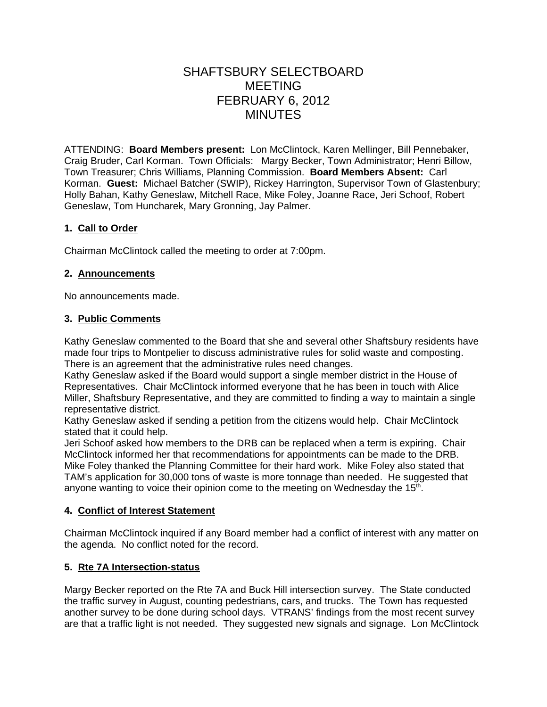# SHAFTSBURY SELECTBOARD MEETING FEBRUARY 6, 2012 MINUTES

ATTENDING: **Board Members present:** Lon McClintock, Karen Mellinger, Bill Pennebaker, Craig Bruder, Carl Korman. Town Officials: Margy Becker, Town Administrator; Henri Billow, Town Treasurer; Chris Williams, Planning Commission. **Board Members Absent:** Carl Korman. **Guest:** Michael Batcher (SWIP), Rickey Harrington, Supervisor Town of Glastenbury; Holly Bahan, Kathy Geneslaw, Mitchell Race, Mike Foley, Joanne Race, Jeri Schoof, Robert Geneslaw, Tom Huncharek, Mary Gronning, Jay Palmer.

# **1. Call to Order**

Chairman McClintock called the meeting to order at 7:00pm.

# **2. Announcements**

No announcements made.

# **3. Public Comments**

Kathy Geneslaw commented to the Board that she and several other Shaftsbury residents have made four trips to Montpelier to discuss administrative rules for solid waste and composting. There is an agreement that the administrative rules need changes.

Kathy Geneslaw asked if the Board would support a single member district in the House of Representatives. Chair McClintock informed everyone that he has been in touch with Alice Miller, Shaftsbury Representative, and they are committed to finding a way to maintain a single representative district.

Kathy Geneslaw asked if sending a petition from the citizens would help. Chair McClintock stated that it could help.

Jeri Schoof asked how members to the DRB can be replaced when a term is expiring. Chair McClintock informed her that recommendations for appointments can be made to the DRB. Mike Foley thanked the Planning Committee for their hard work. Mike Foley also stated that TAM's application for 30,000 tons of waste is more tonnage than needed. He suggested that anyone wanting to voice their opinion come to the meeting on Wednesday the  $15<sup>th</sup>$ .

# **4. Conflict of Interest Statement**

Chairman McClintock inquired if any Board member had a conflict of interest with any matter on the agenda. No conflict noted for the record.

# **5. Rte 7A Intersection-status**

Margy Becker reported on the Rte 7A and Buck Hill intersection survey. The State conducted the traffic survey in August, counting pedestrians, cars, and trucks. The Town has requested another survey to be done during school days. VTRANS' findings from the most recent survey are that a traffic light is not needed. They suggested new signals and signage. Lon McClintock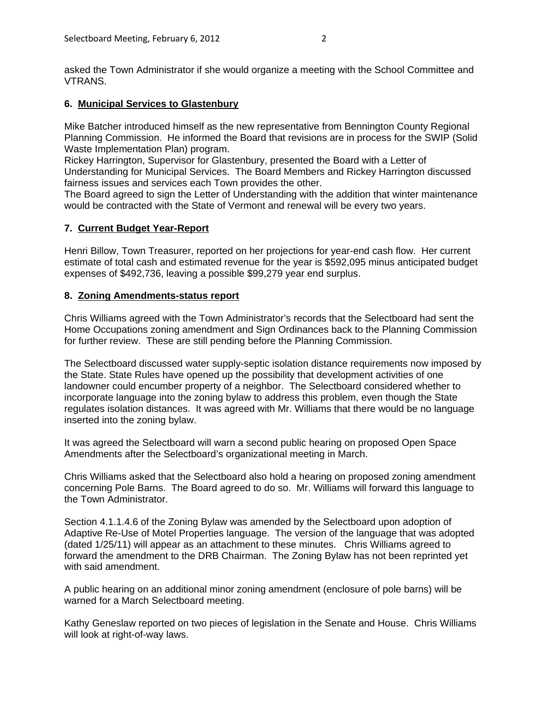asked the Town Administrator if she would organize a meeting with the School Committee and VTRANS.

# **6. Municipal Services to Glastenbury**

Mike Batcher introduced himself as the new representative from Bennington County Regional Planning Commission. He informed the Board that revisions are in process for the SWIP (Solid Waste Implementation Plan) program.

Rickey Harrington, Supervisor for Glastenbury, presented the Board with a Letter of Understanding for Municipal Services. The Board Members and Rickey Harrington discussed fairness issues and services each Town provides the other.

The Board agreed to sign the Letter of Understanding with the addition that winter maintenance would be contracted with the State of Vermont and renewal will be every two years.

### **7. Current Budget Year-Report**

Henri Billow, Town Treasurer, reported on her projections for year-end cash flow. Her current estimate of total cash and estimated revenue for the year is \$592,095 minus anticipated budget expenses of \$492,736, leaving a possible \$99,279 year end surplus.

### **8. Zoning Amendments-status report**

Chris Williams agreed with the Town Administrator's records that the Selectboard had sent the Home Occupations zoning amendment and Sign Ordinances back to the Planning Commission for further review. These are still pending before the Planning Commission.

The Selectboard discussed water supply-septic isolation distance requirements now imposed by the State. State Rules have opened up the possibility that development activities of one landowner could encumber property of a neighbor. The Selectboard considered whether to incorporate language into the zoning bylaw to address this problem, even though the State regulates isolation distances. It was agreed with Mr. Williams that there would be no language inserted into the zoning bylaw.

It was agreed the Selectboard will warn a second public hearing on proposed Open Space Amendments after the Selectboard's organizational meeting in March.

Chris Williams asked that the Selectboard also hold a hearing on proposed zoning amendment concerning Pole Barns. The Board agreed to do so. Mr. Williams will forward this language to the Town Administrator.

Section 4.1.1.4.6 of the Zoning Bylaw was amended by the Selectboard upon adoption of Adaptive Re-Use of Motel Properties language. The version of the language that was adopted (dated 1/25/11) will appear as an attachment to these minutes. Chris Williams agreed to forward the amendment to the DRB Chairman. The Zoning Bylaw has not been reprinted yet with said amendment.

A public hearing on an additional minor zoning amendment (enclosure of pole barns) will be warned for a March Selectboard meeting.

Kathy Geneslaw reported on two pieces of legislation in the Senate and House. Chris Williams will look at right-of-way laws.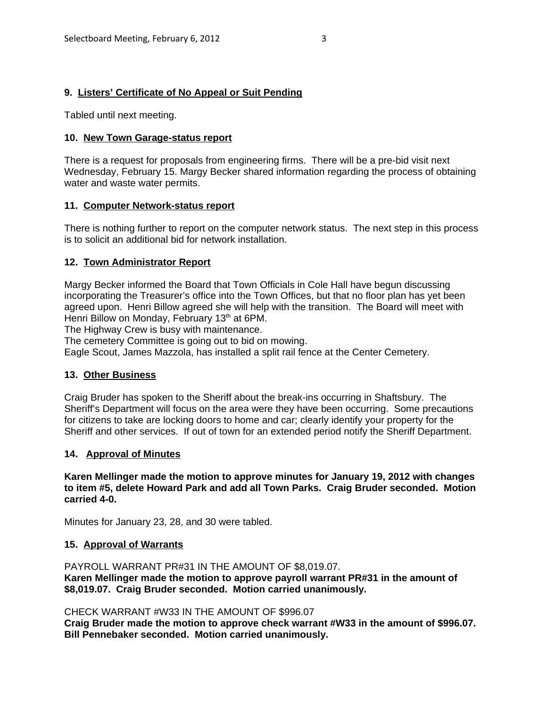### **9. Listers' Certificate of No Appeal or Suit Pending**

Tabled until next meeting.

#### **10. New Town Garage-status report**

There is a request for proposals from engineering firms. There will be a pre-bid visit next Wednesday, February 15. Margy Becker shared information regarding the process of obtaining water and waste water permits.

### **11. Computer Network-status report**

There is nothing further to report on the computer network status. The next step in this process is to solicit an additional bid for network installation.

### **12. Town Administrator Report**

Margy Becker informed the Board that Town Officials in Cole Hall have begun discussing incorporating the Treasurer's office into the Town Offices, but that no floor plan has yet been agreed upon. Henri Billow agreed she will help with the transition. The Board will meet with Henri Billow on Monday, February 13<sup>th</sup> at 6PM.

The Highway Crew is busy with maintenance.

The cemetery Committee is going out to bid on mowing.

Eagle Scout, James Mazzola, has installed a split rail fence at the Center Cemetery.

#### **13. Other Business**

Craig Bruder has spoken to the Sheriff about the break-ins occurring in Shaftsbury. The Sheriff's Department will focus on the area were they have been occurring. Some precautions for citizens to take are locking doors to home and car; clearly identify your property for the Sheriff and other services. If out of town for an extended period notify the Sheriff Department.

#### **14. Approval of Minutes**

**Karen Mellinger made the motion to approve minutes for January 19, 2012 with changes to item #5, delete Howard Park and add all Town Parks. Craig Bruder seconded. Motion carried 4-0.**

Minutes for January 23, 28, and 30 were tabled.

#### **15. Approval of Warrants**

PAYROLL WARRANT PR#31 IN THE AMOUNT OF \$8,019.07. **Karen Mellinger made the motion to approve payroll warrant PR#31 in the amount of \$8,019.07. Craig Bruder seconded. Motion carried unanimously.**

#### CHECK WARRANT #W33 IN THE AMOUNT OF \$996.07

**Craig Bruder made the motion to approve check warrant #W33 in the amount of \$996.07. Bill Pennebaker seconded. Motion carried unanimously.**